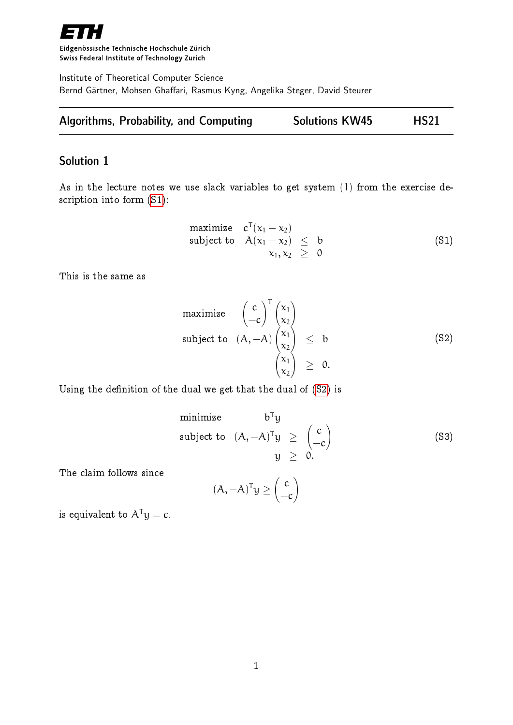

Eidgenössische Technische Hochschule Zürich Swiss Federal Institute of Technology Zurich

Institute of Theoretical Computer Science Bernd Gärtner, Mohsen Ghaffari, Rasmus Kyng, Angelika Steger, David Steurer

| <b>Algorithms, Probability, and Computing</b> | <b>Solutions KW45</b> | <b>HS21</b> |
|-----------------------------------------------|-----------------------|-------------|
|-----------------------------------------------|-----------------------|-------------|

## Solution 1

<span id="page-0-0"></span>As in the lecture notes we use slack variables to get system (1) from the exercise description into form [\(S1\)](#page-0-0):

$$
\begin{array}{ll}\text{maximize} & \mathbf{c}^{\mathsf{T}}(\mathbf{x}_1 - \mathbf{x}_2) \\ \text{subject to} & \mathsf{A}(\mathbf{x}_1 - \mathbf{x}_2) \leq \mathsf{b} \\ & \mathbf{x}_1, \mathbf{x}_2 \geq \mathsf{0} \end{array} \tag{S1}
$$

This is the same as

maximize 
$$
\begin{pmatrix} c \\ -c \end{pmatrix}^T \begin{pmatrix} x_1 \\ x_2 \end{pmatrix}
$$
  
subject to  $(A, -A) \begin{pmatrix} x_1 \\ x_2 \end{pmatrix} \leq b$  (S2)  
 $\begin{pmatrix} x_1 \\ x_2 \end{pmatrix} \geq 0.$ 

Using the definition of the dual we get that the dual of [\(S2\)](#page-0-0) is

minimize 
$$
b^T y
$$
  
\nsubject to  $(A, -A)^T y \ge \begin{pmatrix} c \\ -c \end{pmatrix}$  (S3)  
\n $y \ge 0$ .

The claim follows since

$$
(A, -A)^{T}y \geq \begin{pmatrix} c \\ -c \end{pmatrix}
$$

is equivalent to  $A^{T}y = c$ .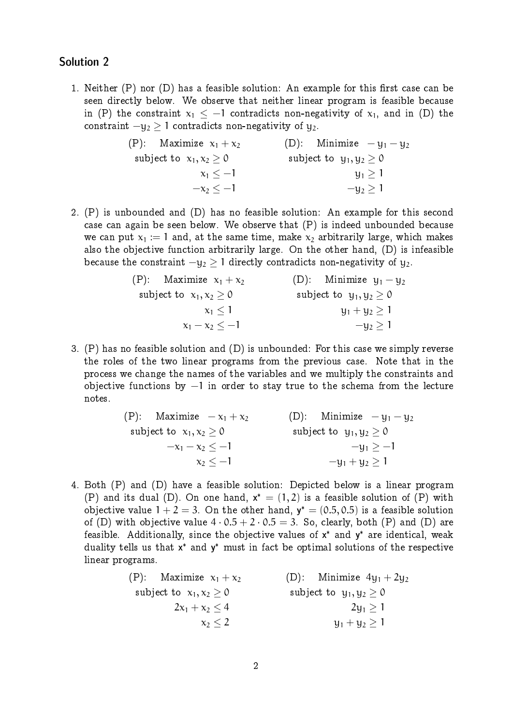## Solution 2

1. Neither  $(P)$  nor  $(D)$  has a feasible solution: An example for this first case can be seen directly below. We observe that neither linear program is feasible because in (P) the constraint  $x_1 \leq -1$  contradicts non-negativity of  $x_1$ , and in (D) the constraint  $-y_2 \geq 1$  contradicts non-negativity of  $y_2$ .

| (P): Maximize $x_1 + x_2$ | (D): Minimize $-y_1-y_2$    |
|---------------------------|-----------------------------|
| subject to $x_1, x_2 > 0$ | subject to $y_1, y_2 \ge 0$ |
| $x_1 < -1$                | $y_1 \geq 1$                |
| $-x_2 < -1$               | $-y_2 \ge 1$                |

2. (P) is unbounded and (D) has no feasible solution: An example for this second case can again be seen below. We observe that (P) is indeed unbounded because we can put  $x_1 := 1$  and, at the same time, make  $x_2$  arbitrarily large, which makes also the objective function arbitrarily large. On the other hand, (D) is infeasible because the constraint  $-y_2 > 1$  directly contradicts non-negativity of  $y_2$ .

| (P): Maximize $x_1 + x_2$ | (D): Minimize $y_1 - y_2$   |
|---------------------------|-----------------------------|
| subject to $x_1, x_2 > 0$ | subject to $y_1, y_2 \ge 0$ |
| $x_1 < 1$                 | $y_1 + y_2 > 1$             |
| $x_1 - x_2 < -1$          | $-y_2 \ge 1$                |

3. (P) has no feasible solution and (D) is unbounded: For this case we simply reverse the roles of the two linear programs from the previous case. Note that in the process we change the names of the variables and we multiply the constraints and objective functions by −1 in order to stay true to the schema from the lecture notes.

| (P): Maximize $-x_1 + x_2$ | (D): Minimize $-\mu_1-\mu_2$ |
|----------------------------|------------------------------|
| subject to $x_1, x_2 > 0$  | subject to $y_1, y_2 \ge 0$  |
| $-x_1 - x_2 < -1$          | $-y_1 \ge -1$                |
| $x_2 < -1$                 | $-y_1 + y_2 \ge 1$           |

4. Both (P) and (D) have a feasible solution: Depicted below is a linear program (P) and its dual (D). On one hand,  $x^* = (1,2)$  is a feasible solution of (P) with objective value  $1+2=3$ . On the other hand,  $y^*=(0.5,0.5)$  is a feasible solution of (D) with objective value  $4 \cdot 0.5 + 2 \cdot 0.5 = 3$ . So, clearly, both (P) and (D) are feasible. Additionally, since the objective values of  $x^*$  and  $y^*$  are identical, weak duality tells us that  $x^*$  and  $y^*$  must in fact be optimal solutions of the respective linear programs.

> (P): Maximize  $x_1 + x_2$  (D): Minimize  $4y_1 + 2y_2$ subject to  $x_1, x_2 \ge 0$  subject to  $y_1, y_2 \ge 0$  $2x_1 + x_2 \le 4$  2y<sub>1</sub>  $\ge 1$  $x_2 \leq 2$   $y_1 + y_2 \geq 1$